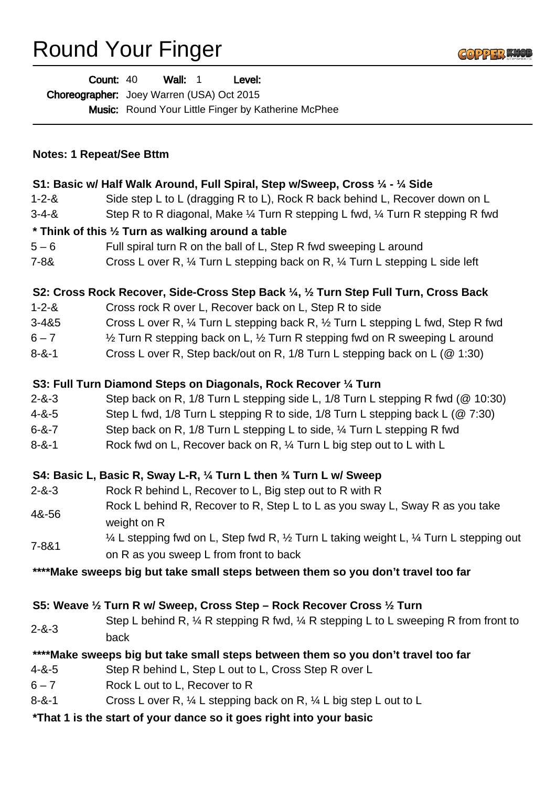## Round Your Finger



|                                                                                   | Wall: 1<br>Level:<br><b>Count: 40</b><br>Choreographer: Joey Warren (USA) Oct 2015<br>Music: Round Your Little Finger by Katherine McPhee |
|-----------------------------------------------------------------------------------|-------------------------------------------------------------------------------------------------------------------------------------------|
| <b>Notes: 1 Repeat/See Bttm</b>                                                   |                                                                                                                                           |
|                                                                                   | S1: Basic w/ Half Walk Around, Full Spiral, Step w/Sweep, Cross 1/4 - 1/4 Side                                                            |
| $1 - 2 - 8$                                                                       | Side step L to L (dragging R to L), Rock R back behind L, Recover down on L                                                               |
| $3 - 4 - 8$                                                                       | Step R to R diagonal, Make 1/4 Turn R stepping L fwd, 1/4 Turn R stepping R fwd                                                           |
| * Think of this 1/2 Turn as walking around a table                                |                                                                                                                                           |
| $5 - 6$                                                                           | Full spiral turn R on the ball of L, Step R fwd sweeping L around                                                                         |
| $7 - 88$                                                                          | Cross L over R, 1/4 Turn L stepping back on R, 1/4 Turn L stepping L side left                                                            |
|                                                                                   | S2: Cross Rock Recover, Side-Cross Step Back 1/4, 1/2 Turn Step Full Turn, Cross Back                                                     |
| $1 - 2 - 8$                                                                       | Cross rock R over L, Recover back on L, Step R to side                                                                                    |
| $3 - 485$                                                                         | Cross L over R, 1/4 Turn L stepping back R, 1/2 Turn L stepping L fwd, Step R fwd                                                         |
| $6 - 7$                                                                           | $\frac{1}{2}$ Turn R stepping back on L, $\frac{1}{2}$ Turn R stepping fwd on R sweeping L around                                         |
| $8 - 8 - 1$                                                                       | Cross L over R, Step back/out on R, 1/8 Turn L stepping back on L (@ 1:30)                                                                |
| S3: Full Turn Diamond Steps on Diagonals, Rock Recover 1/4 Turn                   |                                                                                                                                           |
| $2 - 8 - 3$                                                                       | Step back on R, 1/8 Turn L stepping side L, 1/8 Turn L stepping R fwd (@ 10:30)                                                           |
| $4 - 8 - 5$                                                                       | Step L fwd, 1/8 Turn L stepping R to side, 1/8 Turn L stepping back L (@ 7:30)                                                            |
| $6 - 8 - 7$                                                                       | Step back on R, 1/8 Turn L stepping L to side, 1/4 Turn L stepping R fwd                                                                  |
| $8 - 8 - 1$                                                                       | Rock fwd on L, Recover back on R, $\frac{1}{4}$ Turn L big step out to L with L                                                           |
| S4: Basic L, Basic R, Sway L-R, 1/4 Turn L then 3/4 Turn L w/ Sweep               |                                                                                                                                           |
| $2 - 8 - 3$                                                                       | Rock R behind L, Recover to L, Big step out to R with R                                                                                   |
| 4&-56                                                                             | Rock L behind R, Recover to R, Step L to L as you sway L, Sway R as you take<br>weight on R                                               |
| $7 - 8 & 1$                                                                       | 1⁄4 L stepping fwd on L, Step fwd R, 1⁄2 Turn L taking weight L, 1⁄4 Turn L stepping out<br>on R as you sweep L from front to back        |
| ****Make sweeps big but take small steps between them so you don't travel too far |                                                                                                                                           |
| S5: Weave 1/2 Turn R w/ Sweep, Cross Step - Rock Recover Cross 1/2 Turn           |                                                                                                                                           |
| $2 - 8 - 3$                                                                       | Step L behind R, $\frac{1}{4}$ R stepping R fwd, $\frac{1}{4}$ R stepping L to L sweeping R from front to<br>back                         |
| ****Make sweeps big but take small steps between them so you don't travel too far |                                                                                                                                           |
| $4 - 8 - 5$                                                                       | Step R behind L, Step L out to L, Cross Step R over L                                                                                     |
| $6 - 7$                                                                           | Rock L out to L, Recover to R                                                                                                             |
| $8 - 8 - 1$                                                                       | Cross L over R, $\frac{1}{4}$ L stepping back on R, $\frac{1}{4}$ L big step L out to L                                                   |
|                                                                                   | *That 1 is the start of your dance so it goes right into your basic                                                                       |